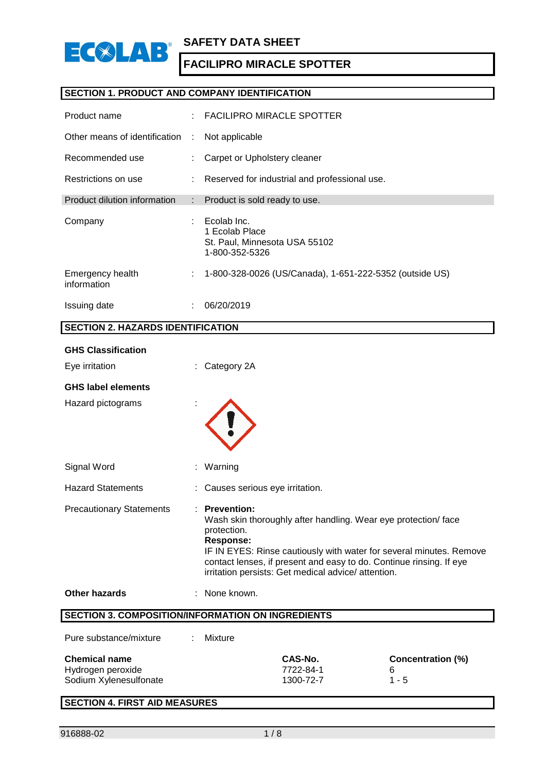

## **SECTION 1. PRODUCT AND COMPANY IDENTIFICATION**

| Product name                    |      | FACILIPRO MIRACLE SPOTTER                                                        |
|---------------------------------|------|----------------------------------------------------------------------------------|
| Other means of identification   | - 11 | Not applicable                                                                   |
| Recommended use                 | ÷    | Carpet or Upholstery cleaner                                                     |
| Restrictions on use             | ÷    | Reserved for industrial and professional use.                                    |
| Product dilution information    |      | : Product is sold ready to use.                                                  |
| Company                         | ÷    | Ecolab Inc.<br>1 Ecolab Place<br>St. Paul, Minnesota USA 55102<br>1-800-352-5326 |
| Emergency health<br>information |      | 1-800-328-0026 (US/Canada), 1-651-222-5352 (outside US)                          |
| Issuing date                    | ٠.   | 06/20/2019                                                                       |

## **SECTION 2. HAZARDS IDENTIFICATION**

| <b>GHS Classification</b>                                           |                                                                                                                                                                                                                                                                                                                       |
|---------------------------------------------------------------------|-----------------------------------------------------------------------------------------------------------------------------------------------------------------------------------------------------------------------------------------------------------------------------------------------------------------------|
| Eye irritation                                                      | Category 2A                                                                                                                                                                                                                                                                                                           |
| <b>GHS label elements</b>                                           |                                                                                                                                                                                                                                                                                                                       |
| Hazard pictograms                                                   |                                                                                                                                                                                                                                                                                                                       |
| Signal Word                                                         | Warning                                                                                                                                                                                                                                                                                                               |
| <b>Hazard Statements</b>                                            | Causes serious eye irritation.                                                                                                                                                                                                                                                                                        |
| <b>Precautionary Statements</b>                                     | : Prevention:<br>Wash skin thoroughly after handling. Wear eye protection/face<br>protection.<br><b>Response:</b><br>IF IN EYES: Rinse cautiously with water for several minutes. Remove<br>contact lenses, if present and easy to do. Continue rinsing. If eye<br>irritation persists: Get medical advice/attention. |
| <b>Other hazards</b>                                                | None known.                                                                                                                                                                                                                                                                                                           |
|                                                                     | <b>SECTION 3. COMPOSITION/INFORMATION ON INGREDIENTS</b>                                                                                                                                                                                                                                                              |
| Pure substance/mixture                                              | Mixture                                                                                                                                                                                                                                                                                                               |
| <b>Chemical name</b><br>Hydrogen peroxide<br>Sodium Xylenesulfonate | CAS-No.<br><b>Concentration (%)</b><br>7722-84-1<br>6<br>1300-72-7<br>$1 - 5$                                                                                                                                                                                                                                         |
| <b>SECTION 4. FIRST AID MEASURES</b>                                |                                                                                                                                                                                                                                                                                                                       |

I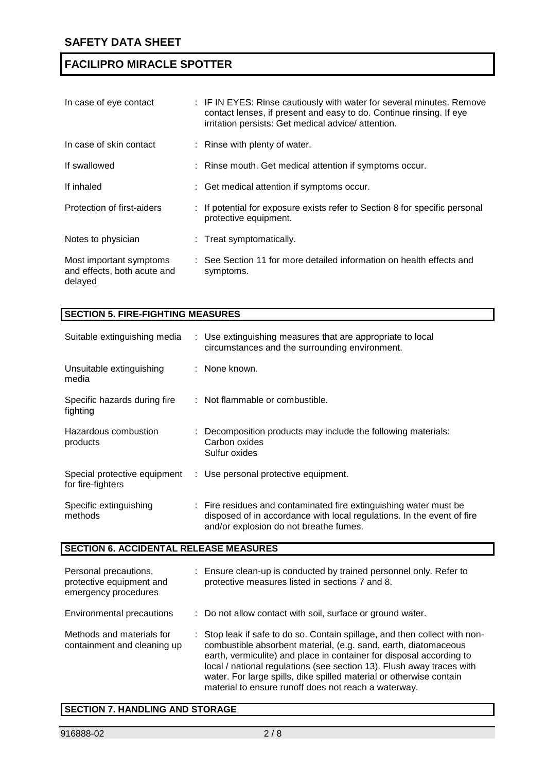| In case of eye contact                                            | : IF IN EYES: Rinse cautiously with water for several minutes. Remove<br>contact lenses, if present and easy to do. Continue rinsing. If eye<br>irritation persists: Get medical advice/attention. |
|-------------------------------------------------------------------|----------------------------------------------------------------------------------------------------------------------------------------------------------------------------------------------------|
| In case of skin contact                                           | : Rinse with plenty of water.                                                                                                                                                                      |
| If swallowed                                                      | : Rinse mouth. Get medical attention if symptoms occur.                                                                                                                                            |
| If inhaled                                                        | : Get medical attention if symptoms occur.                                                                                                                                                         |
| Protection of first-aiders                                        | : If potential for exposure exists refer to Section 8 for specific personal<br>protective equipment.                                                                                               |
| Notes to physician                                                | : Treat symptomatically.                                                                                                                                                                           |
| Most important symptoms<br>and effects, both acute and<br>delayed | : See Section 11 for more detailed information on health effects and<br>symptoms.                                                                                                                  |

| <b>SECTION 5. FIRE-FIGHTING MEASURES</b>          |                                                                                                                                                                                       |  |  |
|---------------------------------------------------|---------------------------------------------------------------------------------------------------------------------------------------------------------------------------------------|--|--|
| Suitable extinguishing media                      | : Use extinguishing measures that are appropriate to local<br>circumstances and the surrounding environment.                                                                          |  |  |
| Unsuitable extinguishing<br>media                 | : None known.                                                                                                                                                                         |  |  |
| Specific hazards during fire<br>fighting          | : Not flammable or combustible.                                                                                                                                                       |  |  |
| Hazardous combustion<br>products                  | : Decomposition products may include the following materials:<br>Carbon oxides<br>Sulfur oxides                                                                                       |  |  |
| Special protective equipment<br>for fire-fighters | : Use personal protective equipment.                                                                                                                                                  |  |  |
| Specific extinguishing<br>methods                 | : Fire residues and contaminated fire extinguishing water must be<br>disposed of in accordance with local regulations. In the event of fire<br>and/or explosion do not breathe fumes. |  |  |

## **SECTION 6. ACCIDENTAL RELEASE MEASURES**

| Personal precautions,<br>protective equipment and<br>emergency procedures | ÷ | Ensure clean-up is conducted by trained personnel only. Refer to<br>protective measures listed in sections 7 and 8.                                                                                                                                                                                                                                                                                                           |
|---------------------------------------------------------------------------|---|-------------------------------------------------------------------------------------------------------------------------------------------------------------------------------------------------------------------------------------------------------------------------------------------------------------------------------------------------------------------------------------------------------------------------------|
| Environmental precautions                                                 |   | : Do not allow contact with soil, surface or ground water.                                                                                                                                                                                                                                                                                                                                                                    |
| Methods and materials for<br>containment and cleaning up                  |   | : Stop leak if safe to do so. Contain spillage, and then collect with non-<br>combustible absorbent material, (e.g. sand, earth, diatomaceous<br>earth, vermiculite) and place in container for disposal according to<br>local / national regulations (see section 13). Flush away traces with<br>water. For large spills, dike spilled material or otherwise contain<br>material to ensure runoff does not reach a waterway. |

## **SECTION 7. HANDLING AND STORAGE**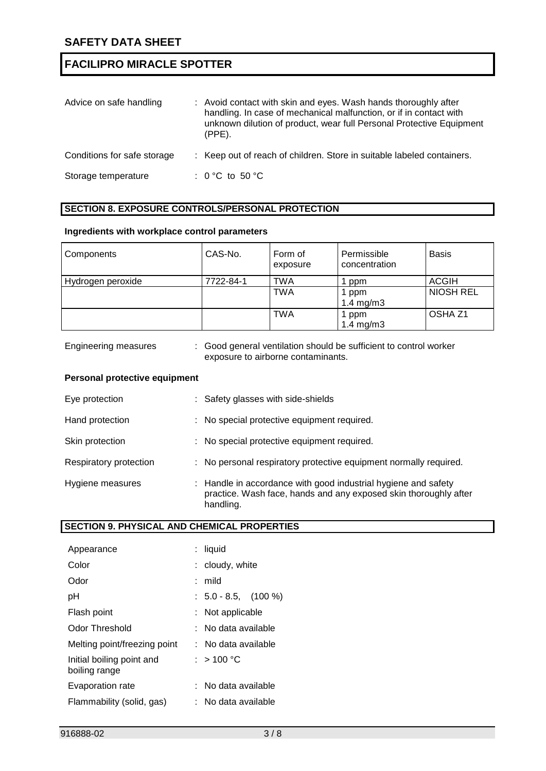| Advice on safe handling     | : Avoid contact with skin and eyes. Wash hands thoroughly after<br>handling. In case of mechanical malfunction, or if in contact with<br>unknown dilution of product, wear full Personal Protective Equipment<br>$(PPE)$ . |
|-----------------------------|----------------------------------------------------------------------------------------------------------------------------------------------------------------------------------------------------------------------------|
| Conditions for safe storage | : Keep out of reach of children. Store in suitable labeled containers.                                                                                                                                                     |
| Storage temperature         | : 0 °C to 50 °C                                                                                                                                                                                                            |

## **SECTION 8. EXPOSURE CONTROLS/PERSONAL PROTECTION**

#### **Ingredients with workplace control parameters**

| Components        | CAS-No.   | Form of<br>exposure | Permissible<br>concentration  | <b>Basis</b>       |
|-------------------|-----------|---------------------|-------------------------------|--------------------|
| Hydrogen peroxide | 7722-84-1 | <b>TWA</b>          | ppm                           | <b>ACGIH</b>       |
|                   |           | <b>TWA</b>          | 1 ppm<br>$1.4 \text{ mg/m}$ 3 | <b>NIOSH REL</b>   |
|                   |           | <b>TWA</b>          | l ppm<br>1.4 mg/m $3$         | OSHA <sub>Z1</sub> |

| <b>Engineering measures</b> | : Good general ventilation should be sufficient to control worker |
|-----------------------------|-------------------------------------------------------------------|
|                             | exposure to airborne contaminants.                                |

#### **Personal protective equipment**

| Eye protection         | : Safety glasses with side-shields                                                                                                              |
|------------------------|-------------------------------------------------------------------------------------------------------------------------------------------------|
| Hand protection        | : No special protective equipment required.                                                                                                     |
| Skin protection        | : No special protective equipment required.                                                                                                     |
| Respiratory protection | : No personal respiratory protective equipment normally required.                                                                               |
| Hygiene measures       | : Handle in accordance with good industrial hygiene and safety<br>practice. Wash face, hands and any exposed skin thoroughly after<br>handling. |

## **SECTION 9. PHYSICAL AND CHEMICAL PROPERTIES**

| Appearance                                 | : liquid              |
|--------------------------------------------|-----------------------|
| Color                                      | : cloudy, white       |
| Odor                                       | : mild                |
| рH                                         | $: 5.0 - 8.5, (100%)$ |
| Flash point                                | : Not applicable      |
| Odor Threshold                             | ∶ No data available   |
| Melting point/freezing point               | ∶ No data available   |
| Initial boiling point and<br>boiling range | : $>100 °C$           |
| Evaporation rate                           | : No data available   |
| Flammability (solid, gas)                  | : No data available   |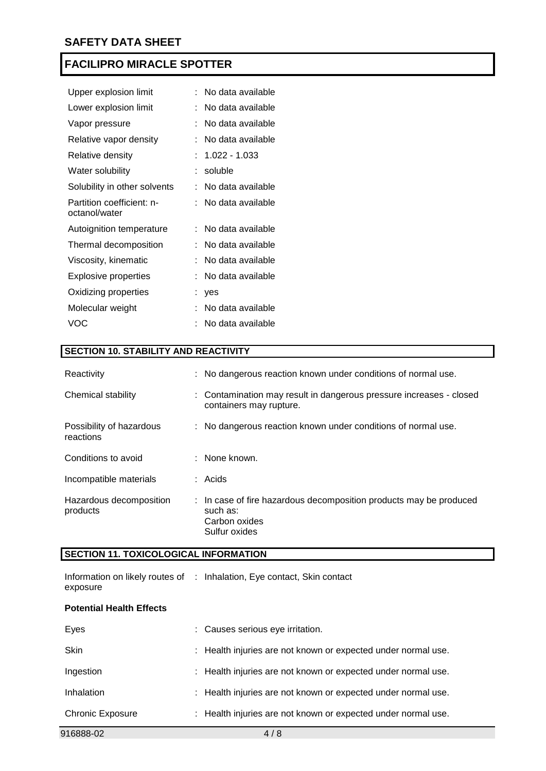| Upper explosion limit                      |   | No data available |
|--------------------------------------------|---|-------------------|
| Lower explosion limit                      |   | No data available |
| Vapor pressure                             |   | No data available |
| Relative vapor density                     | t | No data available |
| Relative density                           |   | $: 1.022 - 1.033$ |
| Water solubility                           |   | soluble           |
| Solubility in other solvents               |   | No data available |
| Partition coefficient: n-<br>octanol/water |   | No data available |
| Autoignition temperature                   |   | No data available |
| Thermal decomposition                      |   | No data available |
| Viscosity, kinematic                       |   | No data available |
| Explosive properties                       | t | No data available |
| Oxidizing properties                       |   | yes               |
| Molecular weight                           |   | No data available |
| VOC                                        |   | No data available |

## **SECTION 10. STABILITY AND REACTIVITY**

| Reactivity                            | : No dangerous reaction known under conditions of normal use.                                                    |
|---------------------------------------|------------------------------------------------------------------------------------------------------------------|
| Chemical stability                    | : Contamination may result in dangerous pressure increases - closed<br>containers may rupture.                   |
| Possibility of hazardous<br>reactions | : No dangerous reaction known under conditions of normal use.                                                    |
| Conditions to avoid                   | : None known.                                                                                                    |
| Incompatible materials                | $:$ Acids                                                                                                        |
| Hazardous decomposition<br>products   | : In case of fire hazardous decomposition products may be produced<br>such as:<br>Carbon oxides<br>Sulfur oxides |

## **SECTION 11. TOXICOLOGICAL INFORMATION**

|          | Information on likely routes of : Inhalation, Eye contact, Skin contact |
|----------|-------------------------------------------------------------------------|
| exposure |                                                                         |

## **Potential Health Effects**

| 916888-02               | 4/8                                                           |
|-------------------------|---------------------------------------------------------------|
| <b>Chronic Exposure</b> | : Health injuries are not known or expected under normal use. |
| Inhalation              | : Health injuries are not known or expected under normal use. |
| Ingestion               | : Health injuries are not known or expected under normal use. |
| <b>Skin</b>             | : Health injuries are not known or expected under normal use. |
| Eyes                    | : Causes serious eye irritation.                              |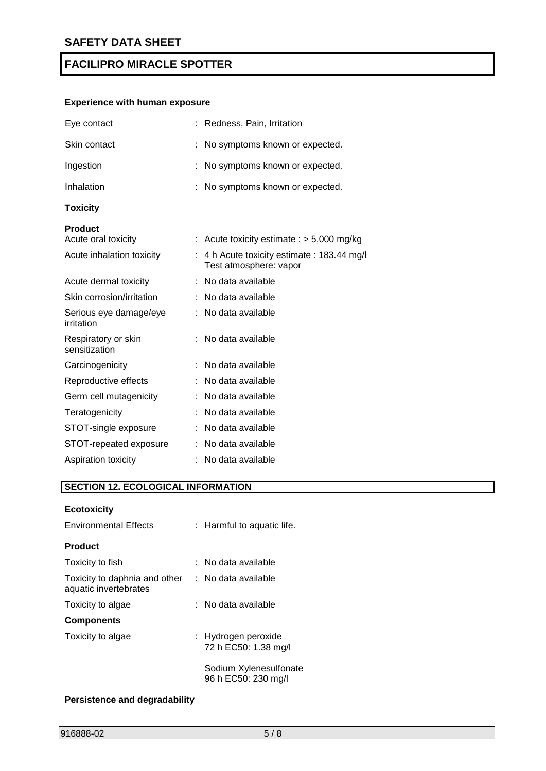## **Experience with human exposure**

| Redness, Pain, Irritation                                          |  |  |
|--------------------------------------------------------------------|--|--|
| No symptoms known or expected.                                     |  |  |
| No symptoms known or expected.                                     |  |  |
| No symptoms known or expected.                                     |  |  |
|                                                                    |  |  |
|                                                                    |  |  |
| Acute toxicity estimate : $> 5,000$ mg/kg                          |  |  |
| 4 h Acute toxicity estimate: 183.44 mg/l<br>Test atmosphere: vapor |  |  |
| No data available                                                  |  |  |
| No data available                                                  |  |  |
| No data available                                                  |  |  |
| No data available                                                  |  |  |
| No data available                                                  |  |  |
| No data available                                                  |  |  |
| No data available                                                  |  |  |
| No data available                                                  |  |  |
| No data available                                                  |  |  |
| No data available                                                  |  |  |
| No data available                                                  |  |  |
|                                                                    |  |  |

## **SECTION 12. ECOLOGICAL INFORMATION**

## **Ecotoxicity**

| <b>Environmental Effects</b>                           | : Harmful to aquatic life.                    |
|--------------------------------------------------------|-----------------------------------------------|
| <b>Product</b>                                         |                                               |
| Toxicity to fish                                       | : No data available                           |
| Toxicity to daphnia and other<br>aquatic invertebrates | : No data available                           |
| Toxicity to algae                                      | : No data available                           |
| <b>Components</b>                                      |                                               |
| Toxicity to algae                                      | : Hydrogen peroxide<br>72 h EC50: 1.38 mg/l   |
|                                                        | Sodium Xylenesulfonate<br>96 h EC50: 230 mg/l |

## **Persistence and degradability**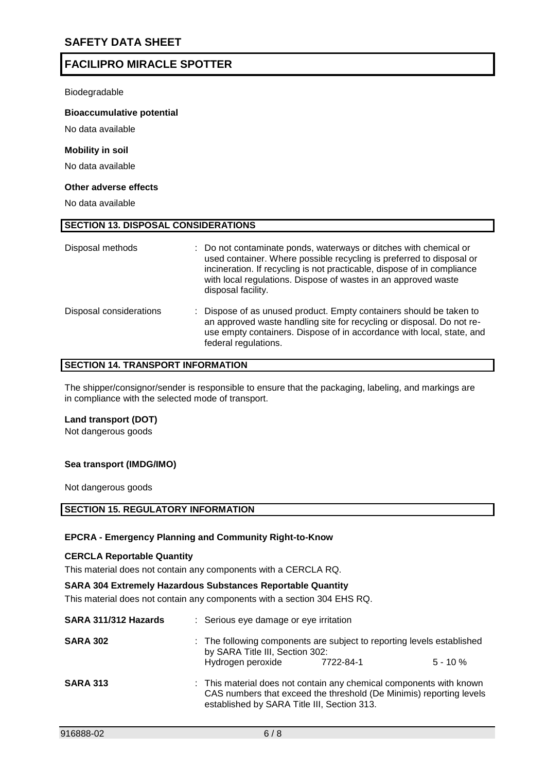Biodegradable

#### **Bioaccumulative potential**

No data available

#### **Mobility in soil**

No data available

#### **Other adverse effects**

No data available

| Disposal methods        | : Do not contaminate ponds, waterways or ditches with chemical or<br>used container. Where possible recycling is preferred to disposal or<br>incineration. If recycling is not practicable, dispose of in compliance<br>with local regulations. Dispose of wastes in an approved waste<br>disposal facility. |
|-------------------------|--------------------------------------------------------------------------------------------------------------------------------------------------------------------------------------------------------------------------------------------------------------------------------------------------------------|
| Disposal considerations | Dispose of as unused product. Empty containers should be taken to<br>an approved waste handling site for recycling or disposal. Do not re-<br>use empty containers. Dispose of in accordance with local, state, and<br>federal regulations.                                                                  |

#### **SECTION 14. TRANSPORT INFORMATION**

**SECTION 13. DISPOSAL CONSIDERATIONS**

The shipper/consignor/sender is responsible to ensure that the packaging, labeling, and markings are in compliance with the selected mode of transport.

#### **Land transport (DOT)**

Not dangerous goods

#### **Sea transport (IMDG/IMO)**

Not dangerous goods

#### **SECTION 15. REGULATORY INFORMATION**

#### **EPCRA - Emergency Planning and Community Right-to-Know**

#### **CERCLA Reportable Quantity**

This material does not contain any components with a CERCLA RQ.

#### **SARA 304 Extremely Hazardous Substances Reportable Quantity**

This material does not contain any components with a section 304 EHS RQ.

| SARA 311/312 Hazards | : Serious eye damage or eye irritation                                                                                                                                                    |           |             |
|----------------------|-------------------------------------------------------------------------------------------------------------------------------------------------------------------------------------------|-----------|-------------|
| <b>SARA 302</b>      | : The following components are subject to reporting levels established<br>by SARA Title III, Section 302:                                                                                 |           |             |
|                      | Hydrogen peroxide                                                                                                                                                                         | 7722-84-1 | $5 - 10 \%$ |
| <b>SARA 313</b>      | : This material does not contain any chemical components with known<br>CAS numbers that exceed the threshold (De Minimis) reporting levels<br>established by SARA Title III, Section 313. |           |             |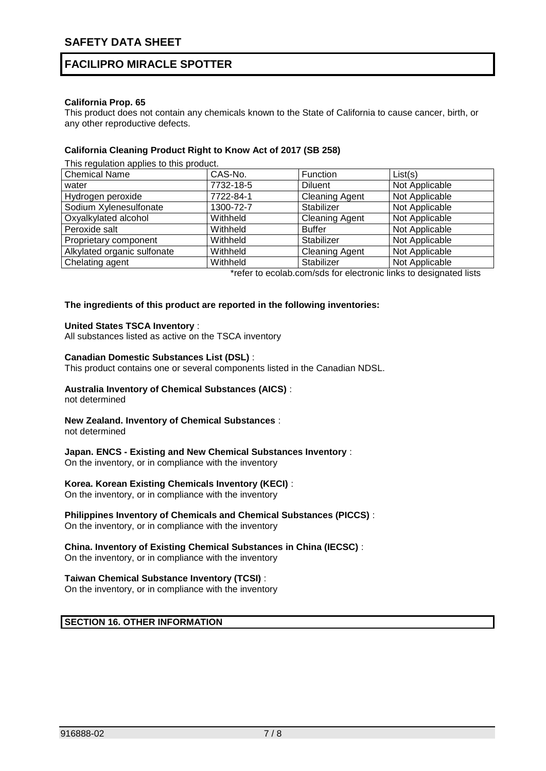#### **California Prop. 65**

This product does not contain any chemicals known to the State of California to cause cancer, birth, or any other reproductive defects.

#### **California Cleaning Product Right to Know Act of 2017 (SB 258)**

This regulation applies to this product.

| <b>Chemical Name</b>        | CAS-No.   | Function              | List(s)        |
|-----------------------------|-----------|-----------------------|----------------|
| water                       | 7732-18-5 | <b>Diluent</b>        | Not Applicable |
| Hydrogen peroxide           | 7722-84-1 | <b>Cleaning Agent</b> | Not Applicable |
| Sodium Xylenesulfonate      | 1300-72-7 | Stabilizer            | Not Applicable |
| Oxyalkylated alcohol        | Withheld  | <b>Cleaning Agent</b> | Not Applicable |
| Peroxide salt               | Withheld  | <b>Buffer</b>         | Not Applicable |
| Proprietary component       | Withheld  | Stabilizer            | Not Applicable |
| Alkylated organic sulfonate | Withheld  | <b>Cleaning Agent</b> | Not Applicable |
| Chelating agent             | Withheld  | Stabilizer            | Not Applicable |

\*refer to ecolab.com/sds for electronic links to designated lists

#### **The ingredients of this product are reported in the following inventories:**

#### **United States TSCA Inventory** :

All substances listed as active on the TSCA inventory

#### **Canadian Domestic Substances List (DSL)** :

This product contains one or several components listed in the Canadian NDSL.

#### **Australia Inventory of Chemical Substances (AICS)** :

not determined

#### **New Zealand. Inventory of Chemical Substances** :

not determined

#### **Japan. ENCS - Existing and New Chemical Substances Inventory** :

On the inventory, or in compliance with the inventory

#### **Korea. Korean Existing Chemicals Inventory (KECI)** :

On the inventory, or in compliance with the inventory

### **Philippines Inventory of Chemicals and Chemical Substances (PICCS)** :

On the inventory, or in compliance with the inventory

### **China. Inventory of Existing Chemical Substances in China (IECSC)** :

On the inventory, or in compliance with the inventory

#### **Taiwan Chemical Substance Inventory (TCSI)** :

On the inventory, or in compliance with the inventory

### **SECTION 16. OTHER INFORMATION**